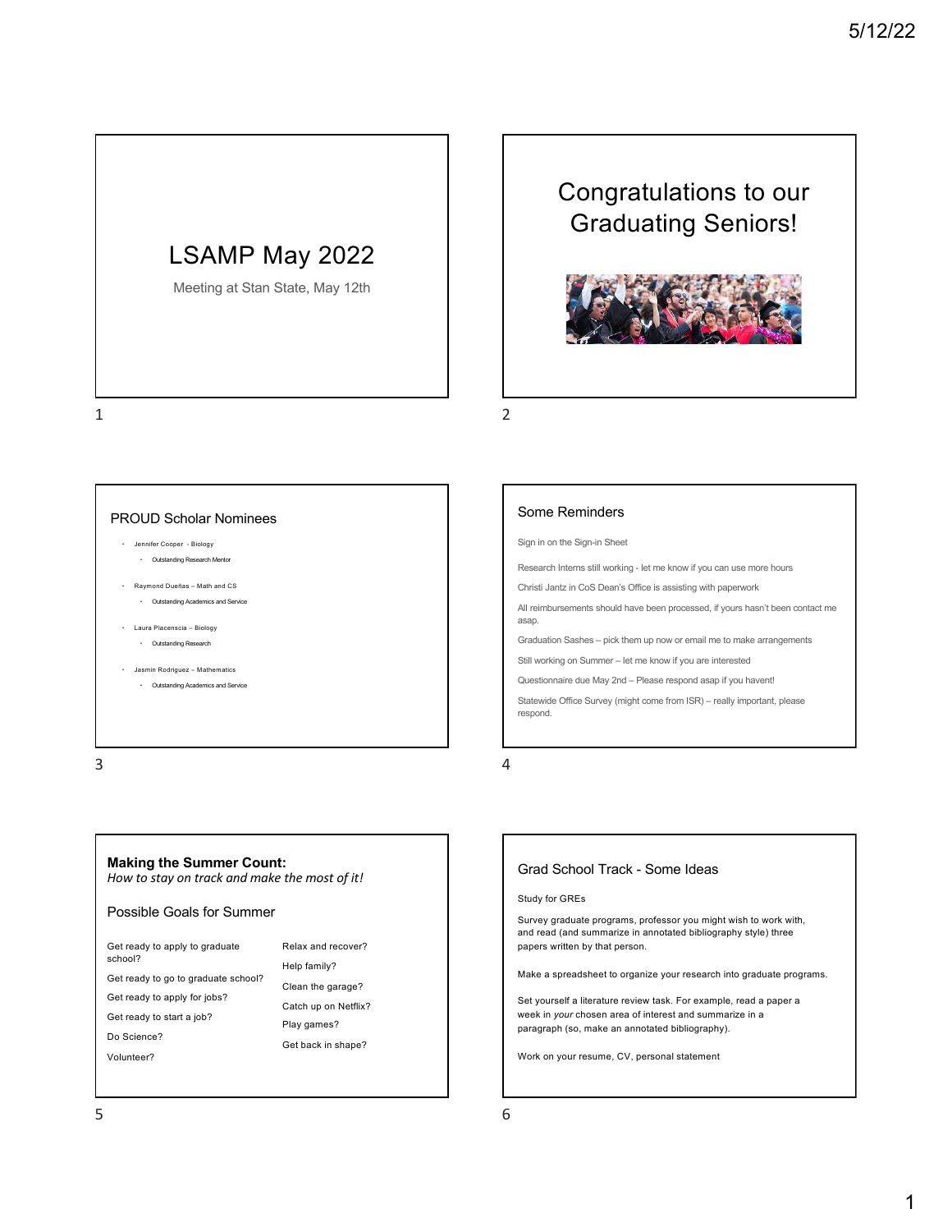# LSAMP May 2022

Meeting at Stan State, May 12th

# Congratulations to our Graduating Seniors!



1

## PROUD Scholar Nominees • Jennifer Cooper - Biology

- Outstanding Research Mentor
- Raymond Dueñas Math and CS • Outstanding Academics and Service
- Laura Placenscia Biology
	- Outstanding Research
- Jasmin Rodriguez Mathematics • Outstanding Academics and Service

3

## **Making the Summer Count:**

*How to stay on track and make the most of it!*

#### Possible Goals for Summer

Get ready to apply to graduate school?

Get ready to go to graduate school?

Get ready to apply for jobs?

Get ready to start a job?

Do Science?

Volunteer?

- Relax and recover? Help family? Clean the garage? Catch up on Netflix? Play games?
- Get back in shape?

### Some Reminders

Sign in on the Sign-in Sheet

Research Interns still working - let me know if you can use more hours

Christi Jantz in CoS Dean's Office is assisting with paperwork

All reimbursements should have been processed, if yours hasn't been contact me asap.

Graduation Sashes – pick them up now or email me to make arrangements

Still working on Summer – let me know if you are interested

Questionnaire due May 2nd – Please respond asap if you havent!

Statewide Office Survey (might come from ISR) – really important, please respond.

4

2

### Grad School Track - Some Ideas

Study for GREs

Survey graduate programs, professor you might wish to work with, and read (and summarize in annotated bibliography style) three papers written by that person.

Make a spreadsheet to organize your research into graduate programs.

Set yourself a literature review task. For example, read a paper a week in *your* chosen area of interest and summarize in a paragraph (so, make an annotated bibliography).

Work on your resume, CV, personal statement